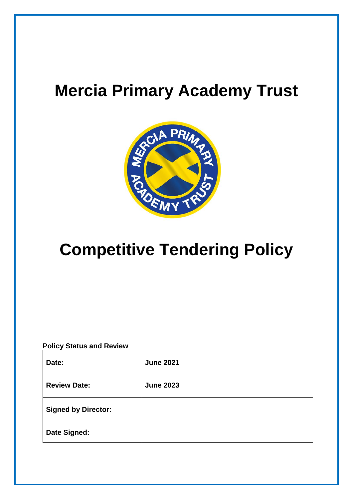# **Mercia Primary Academy Trust**



# **Competitive Tendering Policy**

# **Policy Status and Review**

| Date:                      | <b>June 2021</b> |
|----------------------------|------------------|
| <b>Review Date:</b>        | <b>June 2023</b> |
| <b>Signed by Director:</b> |                  |
| <b>Date Signed:</b>        |                  |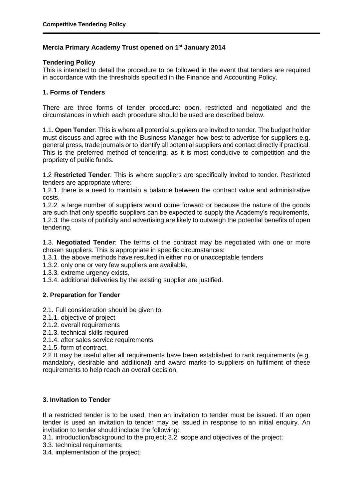# **Mercia Primary Academy Trust opened on 1st January 2014**

## **Tendering Policy**

This is intended to detail the procedure to be followed in the event that tenders are required in accordance with the thresholds specified in the Finance and Accounting Policy.

## **1. Forms of Tenders**

There are three forms of tender procedure: open, restricted and negotiated and the circumstances in which each procedure should be used are described below.

1.1. **Open Tender**: This is where all potential suppliers are invited to tender. The budget holder must discuss and agree with the Business Manager how best to advertise for suppliers e.g. general press, trade journals or to identify all potential suppliers and contact directly if practical. This is the preferred method of tendering, as it is most conducive to competition and the propriety of public funds.

1.2 **Restricted Tender**: This is where suppliers are specifically invited to tender. Restricted tenders are appropriate where:

1.2.1. there is a need to maintain a balance between the contract value and administrative costs,

1.2.2. a large number of suppliers would come forward or because the nature of the goods are such that only specific suppliers can be expected to supply the Academy's requirements, 1.2.3. the costs of publicity and advertising are likely to outweigh the potential benefits of open tendering.

1.3. **Negotiated Tender**: The terms of the contract may be negotiated with one or more chosen suppliers. This is appropriate in specific circumstances:

1.3.1. the above methods have resulted in either no or unacceptable tenders

- 1.3.2. only one or very few suppliers are available,
- 1.3.3. extreme urgency exists,

1.3.4. additional deliveries by the existing supplier are justified.

# **2. Preparation for Tender**

- 2.1. Full consideration should be given to:
- 2.1.1. objective of project
- 2.1.2. overall requirements
- 2.1.3. technical skills required

2.1.4. after sales service requirements

2.1.5. form of contract.

2.2 It may be useful after all requirements have been established to rank requirements (e.g. mandatory, desirable and additional) and award marks to suppliers on fulfilment of these requirements to help reach an overall decision.

# **3. Invitation to Tender**

If a restricted tender is to be used, then an invitation to tender must be issued. If an open tender is used an invitation to tender may be issued in response to an initial enquiry. An invitation to tender should include the following:

3.1. introduction/background to the project; 3.2. scope and objectives of the project;

3.3. technical requirements;

3.4. implementation of the project;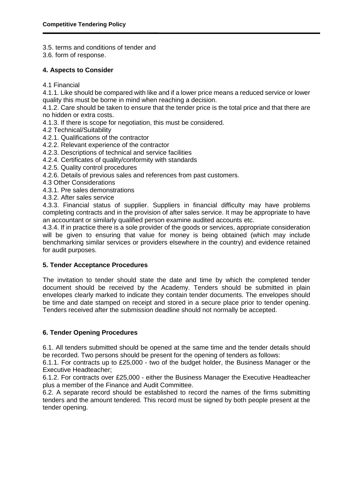3.5. terms and conditions of tender and

3.6. form of response.

#### **4. Aspects to Consider**

4.1 Financial

4.1.1. Like should be compared with like and if a lower price means a reduced service or lower quality this must be borne in mind when reaching a decision.

4.1.2. Care should be taken to ensure that the tender price is the total price and that there are no hidden or extra costs.

- 4.1.3. If there is scope for negotiation, this must be considered.
- 4.2 Technical/Suitability
- 4.2.1. Qualifications of the contractor
- 4.2.2. Relevant experience of the contractor
- 4.2.3. Descriptions of technical and service facilities
- 4.2.4. Certificates of quality/conformity with standards
- 4.2.5. Quality control procedures
- 4.2.6. Details of previous sales and references from past customers.
- 4.3 Other Considerations
- 4.3.1. Pre sales demonstrations
- 4.3.2. After sales service

4.3.3. Financial status of supplier. Suppliers in financial difficulty may have problems completing contracts and in the provision of after sales service. It may be appropriate to have an accountant or similarly qualified person examine audited accounts etc.

4.3.4. If in practice there is a sole provider of the goods or services, appropriate consideration will be given to ensuring that value for money is being obtained (which may include benchmarking similar services or providers elsewhere in the country) and evidence retained for audit purposes.

#### **5. Tender Acceptance Procedures**

The invitation to tender should state the date and time by which the completed tender document should be received by the Academy. Tenders should be submitted in plain envelopes clearly marked to indicate they contain tender documents. The envelopes should be time and date stamped on receipt and stored in a secure place prior to tender opening. Tenders received after the submission deadline should not normally be accepted.

#### **6. Tender Opening Procedures**

6.1. All tenders submitted should be opened at the same time and the tender details should be recorded. Two persons should be present for the opening of tenders as follows:

6.1.1. For contracts up to £25,000 - two of the budget holder, the Business Manager or the Executive Headteacher;

6.1.2. For contracts over £25,000 - either the Business Manager the Executive Headteacher plus a member of the Finance and Audit Committee.

6.2. A separate record should be established to record the names of the firms submitting tenders and the amount tendered. This record must be signed by both people present at the tender opening.